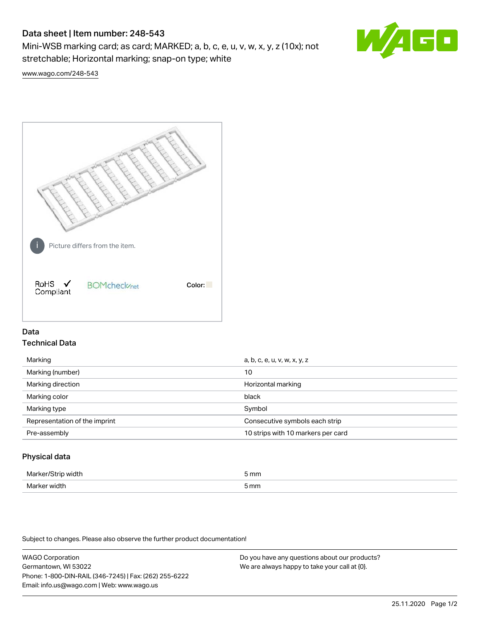# Data sheet | Item number: 248-543

Mini-WSB marking card; as card; MARKED; a, b, c, e, u, v, w, x, y, z (10x); not stretchable; Horizontal marking; snap-on type; white



[www.wago.com/248-543](http://www.wago.com/248-543)



## Data Technical Data

| Marking                       | a, b, c, e, u, v, w, x, y, z       |
|-------------------------------|------------------------------------|
| Marking (number)              | 10                                 |
| Marking direction             | Horizontal marking                 |
| Marking color                 | black                              |
| Marking type                  | Symbol                             |
| Representation of the imprint | Consecutive symbols each strip     |
| Pre-assembly                  | 10 strips with 10 markers per card |
|                               |                                    |

## Physical data

| Mar                      | 5 mm |
|--------------------------|------|
| M <sub>cr</sub><br>width | 5 mm |

Subject to changes. Please also observe the further product documentation!

WAGO Corporation Germantown, WI 53022 Phone: 1-800-DIN-RAIL (346-7245) | Fax: (262) 255-6222 Email: info.us@wago.com | Web: www.wago.us Do you have any questions about our products? We are always happy to take your call at {0}.